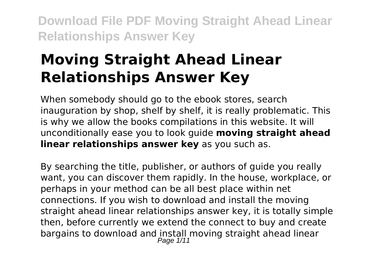# **Moving Straight Ahead Linear Relationships Answer Key**

When somebody should go to the ebook stores, search inauguration by shop, shelf by shelf, it is really problematic. This is why we allow the books compilations in this website. It will unconditionally ease you to look guide **moving straight ahead linear relationships answer key** as you such as.

By searching the title, publisher, or authors of guide you really want, you can discover them rapidly. In the house, workplace, or perhaps in your method can be all best place within net connections. If you wish to download and install the moving straight ahead linear relationships answer key, it is totally simple then, before currently we extend the connect to buy and create bargains to download and install moving straight ahead linear Page  $1/11$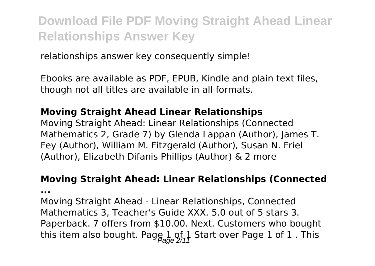relationships answer key consequently simple!

Ebooks are available as PDF, EPUB, Kindle and plain text files, though not all titles are available in all formats.

#### **Moving Straight Ahead Linear Relationships**

Moving Straight Ahead: Linear Relationships (Connected Mathematics 2, Grade 7) by Glenda Lappan (Author), James T. Fey (Author), William M. Fitzgerald (Author), Susan N. Friel (Author), Elizabeth Difanis Phillips (Author) & 2 more

#### **Moving Straight Ahead: Linear Relationships (Connected**

**...**

Moving Straight Ahead - Linear Relationships, Connected Mathematics 3, Teacher's Guide XXX. 5.0 out of 5 stars 3. Paperback. 7 offers from \$10.00. Next. Customers who bought this item also bought. Page  $1$  of  $1$  Start over Page 1 of 1. This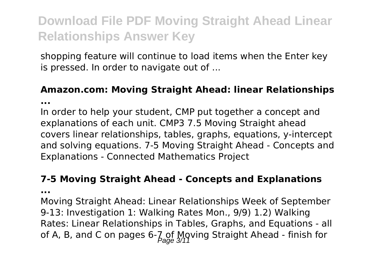shopping feature will continue to load items when the Enter key is pressed. In order to navigate out of ...

### **Amazon.com: Moving Straight Ahead: linear Relationships**

**...**

In order to help your student, CMP put together a concept and explanations of each unit. CMP3 7.5 Moving Straight ahead covers linear relationships, tables, graphs, equations, y-intercept and solving equations. 7-5 Moving Straight Ahead - Concepts and Explanations - Connected Mathematics Project

#### **7-5 Moving Straight Ahead - Concepts and Explanations**

**...**

Moving Straight Ahead: Linear Relationships Week of September 9-13: Investigation 1: Walking Rates Mon., 9/9) 1.2) Walking Rates: Linear Relationships in Tables, Graphs, and Equations - all of A, B, and C on pages  $6-\frac{7}{2}$  of Mgving Straight Ahead - finish for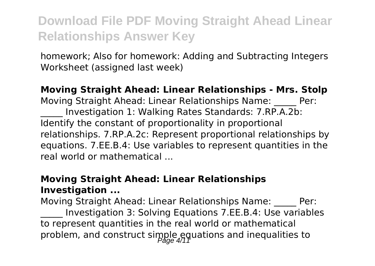homework; Also for homework: Adding and Subtracting Integers Worksheet (assigned last week)

#### **Moving Straight Ahead: Linear Relationships - Mrs. Stolp**

Moving Straight Ahead: Linear Relationships Name: \_\_\_\_\_ Per: Investigation 1: Walking Rates Standards: 7.RP.A.2b: Identify the constant of proportionality in proportional relationships. 7.RP.A.2c: Represent proportional relationships by equations. 7.EE.B.4: Use variables to represent quantities in the real world or mathematical ...

#### **Moving Straight Ahead: Linear Relationships Investigation ...**

Moving Straight Ahead: Linear Relationships Name: \_\_\_\_\_ Per: \_\_\_\_\_ Investigation 3: Solving Equations 7.EE.B.4: Use variables to represent quantities in the real world or mathematical problem, and construct simple equations and inequalities to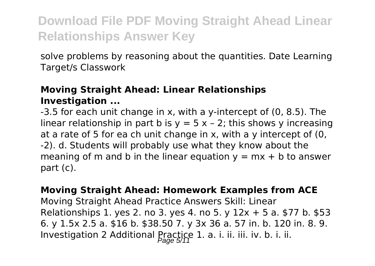solve problems by reasoning about the quantities. Date Learning Target/s Classwork

#### **Moving Straight Ahead: Linear Relationships Investigation ...**

-3.5 for each unit change in x, with a y-intercept of (0, 8.5). The linear relationship in part b is  $y = 5x - 2$ ; this shows y increasing at a rate of 5 for ea ch unit change in x, with a y intercept of (0, -2). d. Students will probably use what they know about the meaning of m and b in the linear equation  $y = mx + b$  to answer part (c).

#### **Moving Straight Ahead: Homework Examples from ACE**

Moving Straight Ahead Practice Answers Skill: Linear Relationships 1. yes 2. no 3. yes 4. no 5. y  $12x + 5$  a. \$77 b. \$53 6. y 1.5x 2.5 a. \$16 b. \$38.50 7. y 3x 36 a. 57 in. b. 120 in. 8. 9. Investigation 2 Additional Practice 1. a. i. ii. iii. iv. b. i. ii.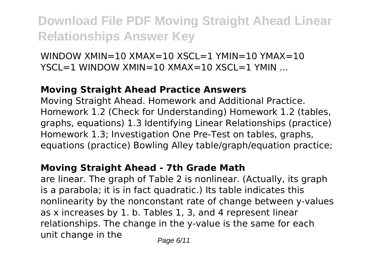WINDOW  $XMIN = 10 XMAX = 10 XSCL = 1 YMIN = 10 YMAX = 10$  $YSCI = 1$  WINDOW XMIN=10 XMAX=10 XSCL=1 YMIN ...

#### **Moving Straight Ahead Practice Answers**

Moving Straight Ahead. Homework and Additional Practice. Homework 1.2 (Check for Understanding) Homework 1.2 (tables, graphs, equations) 1.3 Identifying Linear Relationships (practice) Homework 1.3; Investigation One Pre-Test on tables, graphs, equations (practice) Bowling Alley table/graph/equation practice;

#### **Moving Straight Ahead - 7th Grade Math**

are linear. The graph of Table 2 is nonlinear. (Actually, its graph is a parabola; it is in fact quadratic.) Its table indicates this nonlinearity by the nonconstant rate of change between y-values as x increases by 1. b. Tables 1, 3, and 4 represent linear relationships. The change in the y-value is the same for each unit change in the  $P_{\text{face 6/11}}$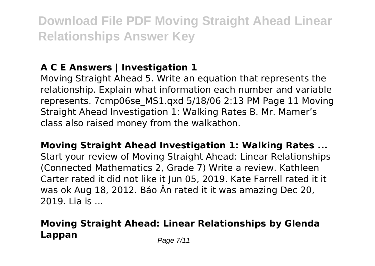### **A C E Answers | Investigation 1**

Moving Straight Ahead 5. Write an equation that represents the relationship. Explain what information each number and variable represents. 7cmp06se\_MS1.qxd 5/18/06 2:13 PM Page 11 Moving Straight Ahead Investigation 1: Walking Rates B. Mr. Mamer's class also raised money from the walkathon.

**Moving Straight Ahead Investigation 1: Walking Rates ...** Start your review of Moving Straight Ahead: Linear Relationships (Connected Mathematics 2, Grade 7) Write a review. Kathleen Carter rated it did not like it Jun 05, 2019. Kate Farrell rated it it was ok Aug 18, 2012. Bảo Ân rated it it was amazing Dec 20, 2019. Lia is ...

### **Moving Straight Ahead: Linear Relationships by Glenda Lappan** Page 7/11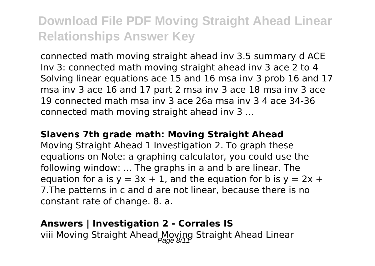connected math moving straight ahead inv 3.5 summary d ACE Inv 3: connected math moving straight ahead inv 3 ace 2 to 4 Solving linear equations ace 15 and 16 msa inv 3 prob 16 and 17 msa inv 3 ace 16 and 17 part 2 msa inv 3 ace 18 msa inv 3 ace 19 connected math msa inv 3 ace 26a msa inv 3 4 ace 34-36 connected math moving straight ahead inv 3 ...

#### **Slavens 7th grade math: Moving Straight Ahead**

Moving Straight Ahead 1 Investigation 2. To graph these equations on Note: a graphing calculator, you could use the following window: ... The graphs in a and b are linear. The equation for a is  $y = 3x + 1$ , and the equation for b is  $y = 2x +$ 7.The patterns in c and d are not linear, because there is no constant rate of change. 8. a.

#### **Answers | Investigation 2 - Corrales IS**

viii Moving Straight Ahead Moving Straight Ahead Linear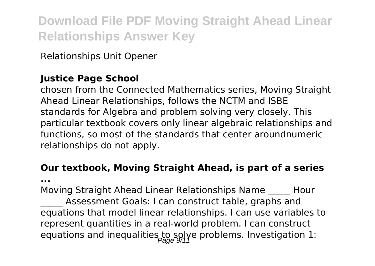Relationships Unit Opener

#### **Justice Page School**

chosen from the Connected Mathematics series, Moving Straight Ahead Linear Relationships, follows the NCTM and ISBE standards for Algebra and problem solving very closely. This particular textbook covers only linear algebraic relationships and functions, so most of the standards that center aroundnumeric relationships do not apply.

### **Our textbook, Moving Straight Ahead, is part of a series**

**...**

Moving Straight Ahead Linear Relationships Name \_\_\_\_\_ Hour Assessment Goals: I can construct table, graphs and equations that model linear relationships. I can use variables to represent quantities in a real-world problem. I can construct equations and inequalities to solve problems. Investigation 1: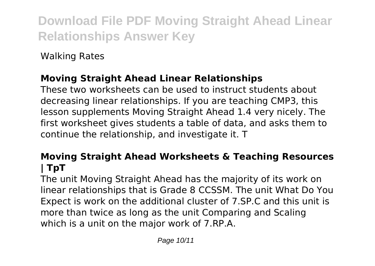Walking Rates

### **Moving Straight Ahead Linear Relationships**

These two worksheets can be used to instruct students about decreasing linear relationships. If you are teaching CMP3, this lesson supplements Moving Straight Ahead 1.4 very nicely. The first worksheet gives students a table of data, and asks them to continue the relationship, and investigate it. T

#### **Moving Straight Ahead Worksheets & Teaching Resources | TpT**

The unit Moving Straight Ahead has the majority of its work on linear relationships that is Grade 8 CCSSM. The unit What Do You Expect is work on the additional cluster of 7.SP.C and this unit is more than twice as long as the unit Comparing and Scaling which is a unit on the major work of 7.RP.A.